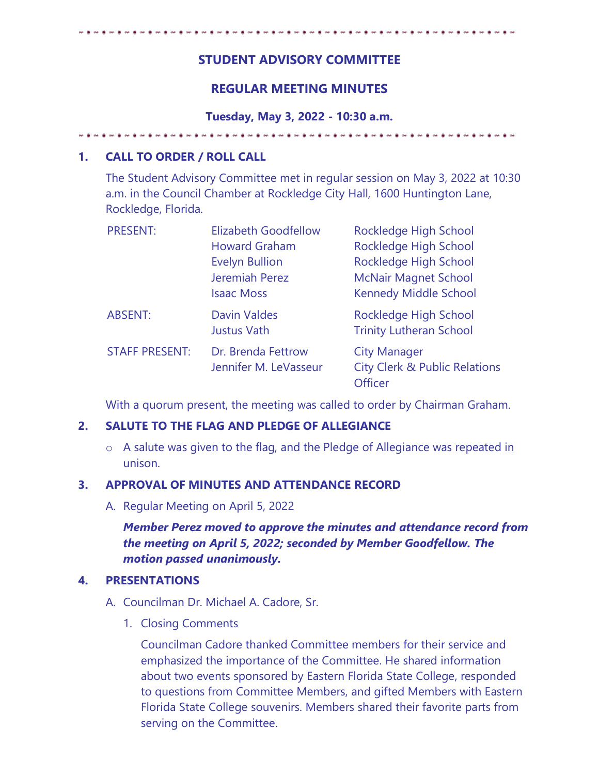# **STUDENT ADVISORY COMMITTEE**

# **REGULAR MEETING MINUTES**

**Tuesday, May 3, 2022 - 10:30 a.m.** 

## **1. CALL TO ORDER / ROLL CALL**

The Student Advisory Committee met in regular session on May 3, 2022 at 10:30 a.m. in the Council Chamber at Rockledge City Hall, 1600 Huntington Lane, Rockledge, Florida.

| <b>PRESENT:</b>       | <b>Elizabeth Goodfellow</b> | Rockledge High School                    |
|-----------------------|-----------------------------|------------------------------------------|
|                       | <b>Howard Graham</b>        | Rockledge High School                    |
|                       | <b>Evelyn Bullion</b>       | Rockledge High School                    |
|                       | Jeremiah Perez              | <b>McNair Magnet School</b>              |
|                       | <b>Isaac Moss</b>           | <b>Kennedy Middle School</b>             |
| <b>ABSENT:</b>        | <b>Davin Valdes</b>         | Rockledge High School                    |
|                       | <b>Justus Vath</b>          | <b>Trinity Lutheran School</b>           |
| <b>STAFF PRESENT:</b> | Dr. Brenda Fettrow          | <b>City Manager</b>                      |
|                       | Jennifer M. LeVasseur       | <b>City Clerk &amp; Public Relations</b> |
|                       |                             | <b>Officer</b>                           |

With a quorum present, the meeting was called to order by Chairman Graham.

## **2. SALUTE TO THE FLAG AND PLEDGE OF ALLEGIANCE**

o A salute was given to the flag, and the Pledge of Allegiance was repeated in unison.

## **3. APPROVAL OF MINUTES AND ATTENDANCE RECORD**

A. Regular Meeting on April 5, 2022

*Member Perez moved to approve the minutes and attendance record from the meeting on April 5, 2022; seconded by Member Goodfellow. The motion passed unanimously.* 

## **4. PRESENTATIONS**

- A. Councilman Dr. Michael A. Cadore, Sr.
	- 1. Closing Comments

Councilman Cadore thanked Committee members for their service and emphasized the importance of the Committee. He shared information about two events sponsored by Eastern Florida State College, responded to questions from Committee Members, and gifted Members with Eastern Florida State College souvenirs. Members shared their favorite parts from serving on the Committee.